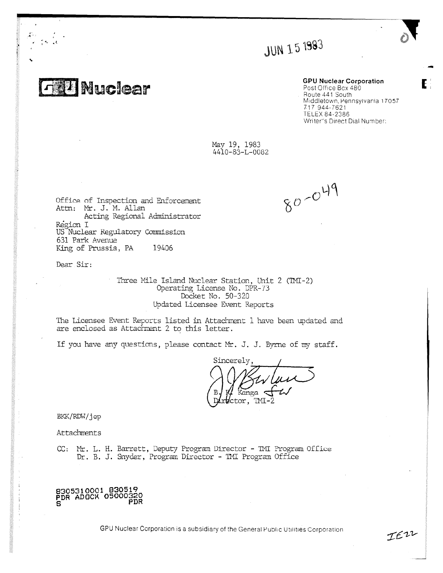**JUN 15 1983** 

**T. CONSUCERT** GPU Nuclear Corporation Post Office Bcx 480 Route 441 South Middletown, Pennsylvania 17057 717 944-7621 TELEX 84-2386 Writer's Direct Dial Number:

IEZZ

May 19, 1983 4410-83-L-0082

 $80 - 049$ 

Office of Inspection and Enforcement Attn: Mr. J. M. Allan Acting Regional Administrator Region I US Nuclear Regulatory commission 631 Park Avenue King of Prussia, PA 19406

Dear Sir:

Three Mile Island Nuclear Station, Unit 2 (TMI-2) Operating License No. DPR-73 Docket No. 50-320 Updated Licensee Event Reports

The Licensee Event Reports listed in Attachment I have been updated and are enclosed as Attachment 2 to this letter.

If you have any questions, please contact Mr. J. J. Byrne of my staff.

Sincerely, Kanga tor, TMI-2  $\,$ 

BKK/RDW/jep

Attachments

CC: Mr. L. H. Barrett, Deputy Program Director - TMI Program Office Dr. B. J. Snyder, Program Director - TMI Program Office

8305310001 830519 PDR ADOCK 05000320<br>S

GPU Nuclear Corporation is a subsidiary of the General Public Utilities Corporation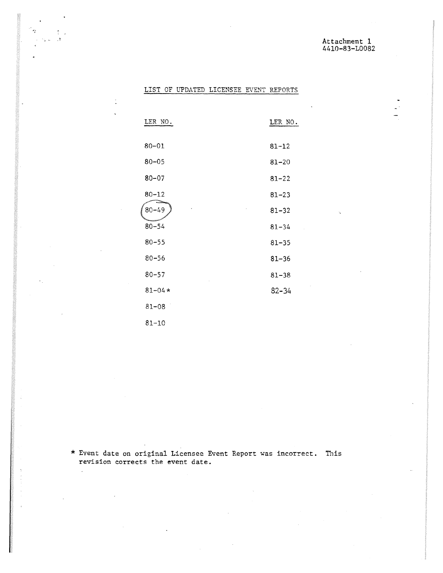# LIST OF UPDATED LICENSEE EVENT REPORTS

 $\gamma$ 

 $\overline{a}$ 

 $\mathcal{L}$ 

| LER NO.    | LER NO.   |
|------------|-----------|
| $80 - 01$  | $81 - 12$ |
| $80 - 05$  | $81 - 20$ |
| $80 - 07$  | $81 - 22$ |
| $80 - 12$  | $81 - 23$ |
| $80 - 49$  | $81 - 32$ |
| $80 - 54$  | $81 - 34$ |
| $80 - 55$  | $81 - 35$ |
| $80 - 56$  | $81 - 36$ |
| $80 - 57$  | $81 - 38$ |
| $81 - 04*$ | $82 - 34$ |
| $81 - 08$  |           |
| $81 - 10$  |           |

\* Event date on original Licensee Event Report was incorrect. This revision corrects the event date.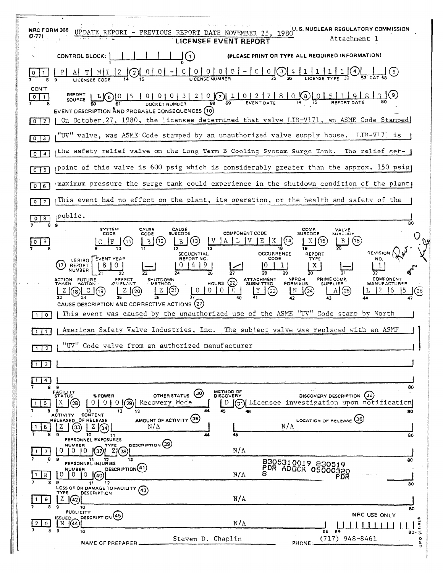| U.S. NUCLEAR REGULATORY COMMISSION<br><b>NRC FORM 366</b><br>UPDATE REPORT - PREVIOUS REPORT DATE NOVEMBER 25, 1980<br>(7.77)<br>Attachment 1<br>LICENSEE EVENT REPORT                                                                                                                                                                  |  |
|-----------------------------------------------------------------------------------------------------------------------------------------------------------------------------------------------------------------------------------------------------------------------------------------------------------------------------------------|--|
| (PLEASE PRINT OR TYPE ALL REQUIRED INFORMATION)<br>CONTROL BLOCK:<br>$\left(1\right)$                                                                                                                                                                                                                                                   |  |
| $\underbrace{0 \mid 0 \mid 0 \mid 0 \mid 0 \mid - \mid 0 \mid 0}_{\text{LICENSE NUMBER}}$<br>0<br>(5)<br>$\overline{2}$                                                                                                                                                                                                                 |  |
| CON'T<br>SOURCE $L$ 61 0 0 0 0 3 2 0 0 1 0 2 7 8 0 6 $(3)$ 1 0 $(3)$ 1 0 $(3)$ 1 0 $(3)$ 1 0 $(3)$ 1 0 $(3)$ 1 0 $(3)$ 1 0 $(3)$ 1 0 $(3)$ 1 0 $(3)$ 1 0 $(3)$ 1 0 $(3)$ 1 0 $(3)$ 1 0 $(3)$ 1 0 $(3)$ 1 0 $(3)$ 1 0 $(3)$ 1 0 $(3)$ 1                                                                                                  |  |
| EVENT DESCRIPTION AND PROBABLE CONSEQUENCES (10)<br>On October.27, 1980, the licensee determined that valve LTB-V171, an ASME Code Stamped<br>-2<br>0 <sup>1</sup>                                                                                                                                                                      |  |
| "UV" valve, was ASME Code stamped by an unauthorized valve supply house. LTB-V171 is<br>$0 \mid 3$                                                                                                                                                                                                                                      |  |
| the safety relief valve on the Long Term B Cooling System Surge Tank. The relief set-<br>4<br>$^{\circ}$                                                                                                                                                                                                                                |  |
| point of this valve is 600 psig which is considerably greater than the approx. 150 psig<br>-5<br>∣ o ∤                                                                                                                                                                                                                                  |  |
| $\upmu$ maximum pressure the surge tank could experience in the shutdown condition of the plant)<br>$0$   6                                                                                                                                                                                                                             |  |
| This event had no effect on the plant, its operation, or the health and safety of the<br>۰                                                                                                                                                                                                                                              |  |
| public.<br>8<br>80<br>9                                                                                                                                                                                                                                                                                                                 |  |
| SYSTEM<br>CALISE<br>COMP<br>CAUSE<br>VALVE<br><b>COMPONENT CODE</b><br><b>SUBCODE</b><br><b>SUBCODE</b><br>CODE.<br>CODE<br>SUBCODE<br>E<br>(12)<br>(14<br>(16)<br>- 3<br>B<br>$\mathbf{o}$                                                                                                                                             |  |
| REVISION<br>OCCURRENCE<br>SEQUENTIAL<br>REPORT                                                                                                                                                                                                                                                                                          |  |
| CODE<br>REPORT NO.<br>EVENT YEAR<br>TYPE<br>NO<br>LER/RO<br>X.<br>REPORT<br>NUMBE<br>26                                                                                                                                                                                                                                                 |  |
| PRIME COMP<br>COMPONENT<br><b>FUTURE</b><br>SHUTDOWN<br>ATTACHMENT<br>SUBMITTED<br>NPRD-4<br>EFFECT<br>ON PLANT<br>ACTION<br>TAKEN<br>$H$ ours $(22)$<br><b>SUPPLIER</b><br>FORM SUB.<br>(21)<br>$\overline{0}$<br>10 <sup>°</sup><br>$\vert 0 \vert$<br>$\overline{10}$<br>(23)<br>25<br>CAUSE DESCRIPTION AND CORRECTIVE ACTIONS (27) |  |
| This event was caused by the unauthorized use of the ASME "UV" Code stamp by North<br>$\circ$                                                                                                                                                                                                                                           |  |
| American Safety Valve Industries, Inc. The subject valve was replaced with an ASMF                                                                                                                                                                                                                                                      |  |
| "UV"<br>Code valve from an authorized manufacturer<br>$1 \mid 2$                                                                                                                                                                                                                                                                        |  |
| 1   3                                                                                                                                                                                                                                                                                                                                   |  |
| 4 <br>89<br>80                                                                                                                                                                                                                                                                                                                          |  |
| METHOD OF<br><b>FACILITY</b><br>STATUS<br>$\odot$<br>OTHER STATUS<br><b>DISCOVERY</b><br>DISCOVERY DESCRIPTION (32)<br>% POWER<br>Χ<br>Recovery Mode<br>Licensee investigation upon notification<br>0 <sup>1</sup><br>O L<br>(28<br>0<br>29<br>D<br>'31)I<br>5.<br>89<br>10<br>44<br>13<br>45<br>46<br>80                               |  |
| <b>CONTENT</b><br><b>ACTIVITY</b><br>AMOUNT OF ACTIVITY (35)<br>LOCATION OF RELEASE (36)<br>RELEASED OF RELEASE<br>N/A<br>N/A<br>Z<br>z<br>33<br>6<br>(34<br>45<br>۰<br>44<br>10<br>80<br>11                                                                                                                                            |  |
| PERSONNEL EXPOSURES<br>DESCRIPTION (39)<br><b>NUMBER</b><br>TYPE<br>N/A<br>0<br>10.<br>10.<br>Z138<br>37                                                                                                                                                                                                                                |  |
| 8<br>э<br>13<br>11<br>12<br>80<br>8305310019 830519<br>PERSONNEL INJURIES<br>PDR ADOCK 05000320<br>DESCRIPTION <sup>(41)</sup><br><b>NUMBER</b><br>5<br>N/A<br>0.<br>U<br>$\Omega$<br>8.<br>40.<br>PDR                                                                                                                                  |  |
| э<br>11<br>12<br>80<br>LOSS OF OR DAMAGE TO FACILITY (43)<br>TYPE<br><b>DESCRIPTION</b><br>N/A<br>Z<br>9                                                                                                                                                                                                                                |  |
| 10<br>80<br><b>PUBLICITY</b><br>NRC USE ONLY<br>DESCRIPTION (45)<br><b>MSSUED</b><br>۰                                                                                                                                                                                                                                                  |  |
| N/A<br>$1 - 92$<br>N<br>[(44]<br>$\Omega$<br>8<br>9<br>10<br>68<br>69<br>$80 \cdot 7$                                                                                                                                                                                                                                                   |  |
| $(717)$ 948-8461<br>Steven D. Chaplin<br>$\circ$<br>NAME OF PREPARER.<br>PHONE:                                                                                                                                                                                                                                                         |  |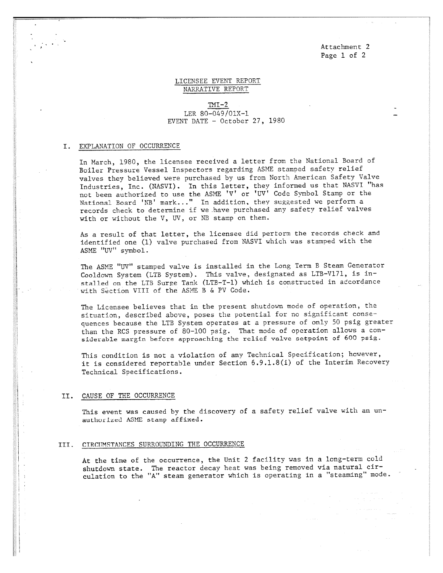Attachment 2 Page 1 of 2

## LICENSEE EVENT REPORT NARRATIVE REPORT

 $TMI-2$ LER 80-049/01X-1 EVENT DATE - October 27, 1980

### I. EXPLANATION OF OCCURRENCE

In March, 1980, the licensee received a letter from the National Board of Boiler Pressure Vessel Inspectors regarding ASME stamped safety relief valves they believed were purchased by us from North American Safety Valve Industries, Inc. (NASVI). In this letter, they informed us that NASVI "has not been authorized to use the ASME 'V' or 'UV' Code Symbol Stamp or the National Board 'NB' mark..." In addition, they suggested we perform a records check to determine if we have purchased any safety relief valves with or without the V, UV, or NB stamp on them.

As a result of that letter, the licensee did pertorm the records check and identified one (1) valve purchased from NASVI which was stamped with the ASME "UV" symbol.

The ASME "UV" stamped valve is installed in the Long Term B Steam Generator Cooldown System (LTB System). This valve, designated as LTB-V171, is installed on the LTB Surge Tank (LTB-T-1) which is constructed in atcordance with Section VIII of the ASME B & PV Code.

The Licensee believes that in the present shutdown mode of operation, the situation, described above, poses the potential for no significant consequences because the LTB System operates at a pressure of only 50 psig greater than the RCS pressure of 80-100 psig. That mode of operation allows a considerable margin before approaching the relief valve setpoint of 600 psig.

This condition is not a violation of any Technical Specification; however, it is considered reportable under Section 6.9.1.8(i) of the Interim Recovery Technical Specifications.

#### II. CAUSE OF THE OCCURRENCE

This event was caused by the discovery of a safety relief valve with an unauthorized ASME stamp affixed.

#### III. CIRCUMSTANCES SURROUNDING THE OCCURRENCE

At the time of the occurrence, the Unit 2 facility was in a long-term cold shutdown state. The reactor decay heat was being removed via natural circulation to the "A" steam generator which is operating in a "steaming" mode.